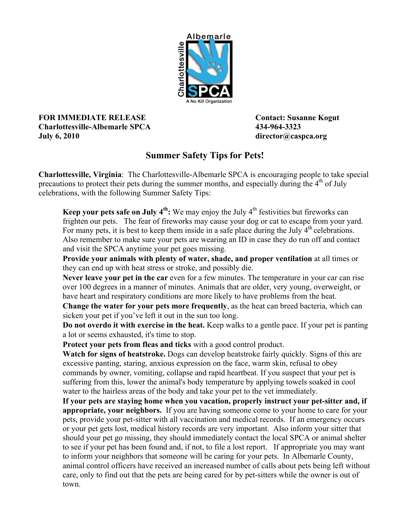

## **FOR IMMEDIATE RELEASE Contact: Susanne Kogut Charlottesville-Albemarle SPCA 434-964-3323 July 6, 2010 director@caspca.org**

## **Summer Safety Tips for Pets!**

**Charlottesville, Virginia**: The Charlottesville-Albemarle SPCA is encouraging people to take special precautions to protect their pets during the summer months, and especially during the  $4<sup>th</sup>$  of July celebrations, with the following Summer Safety Tips:

**Keep your pets safe on July**  $4^{\text{th}}$ **:** We may enjoy the July  $4^{\text{th}}$  festivities but fireworks can frighten our pets. The fear of fireworks may cause your dog or cat to escape from your yard. For many pets, it is best to keep them inside in a safe place during the July  $4<sup>th</sup>$  celebrations. Also remember to make sure your pets are wearing an ID in case they do run off and contact and visit the SPCA anytime your pet goes missing.

**Provide your animals with plenty of water, shade, and proper ventilation** at all times or they can end up with heat stress or stroke, and possibly die.

**Never leave your pet in the car** even for a few minutes. The temperature in your car can rise over 100 degrees in a manner of minutes. Animals that are older, very young, overweight, or have heart and respiratory conditions are more likely to have problems from the heat.

**Change the water for your pets more frequently**, as the heat can breed bacteria, which can sicken your pet if you've left it out in the sun too long.

**Do not overdo it with exercise in the heat.** Keep walks to a gentle pace. If your pet is panting a lot or seems exhausted, it's time to stop.

**Protect your pets from fleas and ticks** with a good control product.

**Watch for signs of heatstroke.** Dogs can develop heatstroke fairly quickly. Signs of this are excessive panting, staring, anxious expression on the face, warm skin, refusal to obey commands by owner, vomiting, collapse and rapid heartbeat. If you suspect that your pet is suffering from this, lower the animal's body temperature by applying towels soaked in cool water to the hairless areas of the body and take your pet to the vet immediately.

**If your pets are staying home when you vacation, properly instruct your pet-sitter and, if appropriate, your neighbors.** If you are having someone come to your home to care for your pets, provide your pet-sitter with all vaccination and medical records. If an emergency occurs or your pet gets lost, medical history records are very important. Also inform your sitter that should your pet go missing, they should immediately contact the local SPCA or animal shelter to see if your pet has been found and, if not, to file a lost report. If appropriate you may want to inform your neighbors that someone will be caring for your pets. In Albemarle County, animal control officers have received an increased number of calls about pets being left without care, only to find out that the pets are being cared for by pet-sitters while the owner is out of town.